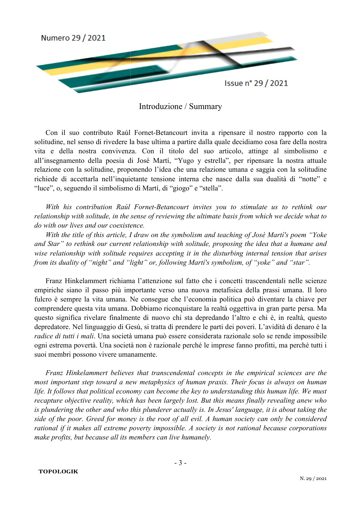

## Introduzione / Summary

Con il suo contributo Raúl Fornet-Betancourt invita a ripensare il nostro rapporto con la solitudine, nel senso di rivedere la base ultima a partire dalla quale decidiamo cosa fare della nostra vita e della nostra convivenza. Con il titolo del suo articolo, attinge al simbolismo e all'insegnamento della poesia di José Martí, "Yugo y estrella", per ripensare la nostra attuale relazione con la solitudine, proponendo l'idea che una relazione umana e saggia con la solitudine richiede di accettarla nell'inquietante tensione interna che nasce dalla sua dualità di "notte" e "luce", o, seguendo il simbolismo di Martí, di "giogo" e "stella".

With his contribution Raúl Fornet-Betancourt invites you to stimulate us to rethink our relationship with solitude, in the sense of reviewing the ultimate basis from which we decide what to *do with our lives and our coexisten istence.*

*With the title of this article, I draw on the symbolism and teaching of José Marti's poem "Yoke* and Star" to rethink our current relationship with solitude, proposing the idea that a humane and wise relationship with solitude requires accepting it in the disturbing internal tension that arises from its duality of "night" and "light" or, following Martí's symbolism, of "yoke" and "star".

Franz Hinkelammert richiama l'attenzione sul fatto che i concetti trascendentali nelle scienze empiriche siano il passo più importante verso una nuova metafisica della prassi umana. Il loro fulcro è sempre la vita umana. Ne consegue che l'economia politica può diventare la chiave per comprendere questa vita umana. Dobbiamo riconquistare la realtà oggettiva in gran parte persa. Ma questo significa rivelare finalmente di nuovo chi sta depredando l'altro e chi è, in realtà, questo depredatore. Nel linguaggio di Gesù, si tratta di prendere le parti dei poveri. L'avidità di denaro è la radice di tutti i mali. Una società umana può essere considerata razionale solo se rende impossibile ogni estrema povertà. Una società non è razionale perché le imprese fanno profitti, ma perché tutti i suoi membri possono vivere umanamente.

*Franz Hinkelammert believes that transcendental concepts in the empirical sciences are the most important step toward a new metaphysics of human praxis. Their focus is always on human* life. It follows that political economy can become the key to understanding this human life. We must *recapture objective reality, which has been largely lost. But this means finally revealing anew who* is plundering the other and who this plunderer actually is. In Jesus' language, it is about taking the *side of the poor. Greed for money is the root of all evil. A human society can only be considered rational if it makes all extreme poverty impossible. A society is not rational because corporations* make profits, but because all its members can live humanely.

**TOPOLOGIK**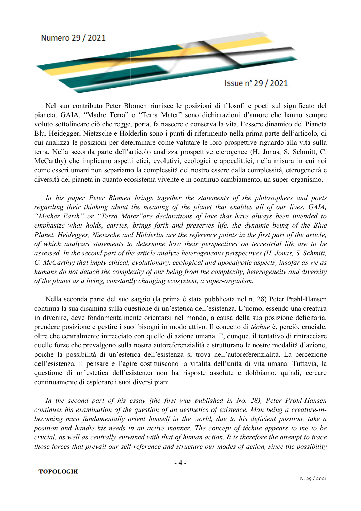

Nel suo contributo Peter Blomen riunisce le posizioni di filosofi e poeti sul significato del pianeta. GAIA, "Madre Terra" o "Terra Mater" sono dichiarazioni d'amore che hanno sempre voluto sottolineare ciò che regge, porta, fa nascere e conserva la vita, l'essere dinamico del Pianeta Blu. Heidegger, Nietzsche e Hölderlin sono i punti di riferimento nella prima parte dell'articolo, di cui analizza le posizioni per determinare come valutare le loro prospettive riguardo alla vita sulla terra. Nella seconda parte dell'articolo analizza prospettive eterogenee (H. Jonas, S. Schmitt, C. McCarthy) che implicano aspetti etici, evolutivi, ecologici e apocalittici, nella misura in cui noi come esseri umani non separiamo la complessità del nostro essere dalla complessità, eterogeneità e diversità del pianeta in quanto ecosistema vivente e in continuo cambiamento, un super-organismo.

In his paper Peter Blomen brings together the statements of the philosophers and poets regarding their thinking about the meaning of the planet that enables all of our lives. GAIA, "Mother Earth" or "Terra Mater" are declarations of love that have always been intended to *emphasize what holds, carries, brings forth and preserves life, the dynamic being of the Blue* Planet. Heidegger, Nietzsche and Hölderlin are the reference points in the first part of the article, of which analyzes statements to determine how their perspectives on terrestrial life are to be assessed. In the second part of the article analyze heterogeneous perspectives (H. Jonas, S. Schmitt, *C. McCarthy) that imply ethical, evolutionary, ecological and apocalyptic aspects, insofar as we as humans do not detach the complexity of our being from the complexity, heterogeneity and diversity* of the planet as a living, constantly changing ecosystem, a super-organism.

Nella seconda parte del suo saggio (la prima è stata pubblicata nel n. 28) Peter Prøhl-Hansen continua la sua disamina sulla questione di un'estetica dell'esistenza. L'uomo, essendo una creatura in divenire, deve fondamentalmente orientarsi nel mondo, a causa della sua posizione deficitaria, prendere posizione e gestire i suoi suoi bisogni in modo attivo. Il concetto di *téchn échne* è, perciò, cruciale, oltre che centralmente intrecciato con quello di azione umana. È, dunque, il tentativo di rintracciare quelle forze che prevalgono sulla nostra autoreferenzialità e strutturano le nostre modalità d'azione, poiché la possibilità di un'estetica dell'esistenza si trova nell'autoreferenzialità. La percezione dell'esistenza, il pensare e l'agire costituiscono la vitalità dell'unità di vita umana. Tuttavia, la questione di un'estetica dell'esistenza non ha risposte assolute e dobbiamo, quindi, cercare continuamente di esplorare i suoi diversi piani.

In the second part of his essay (the first was published in No. 28), Peter Prøhl-Hansen continues his examination of the question of an aesthetics of existence. Man being a creature-in*becoming must fundamentally orient himself in the world, due to his deficient position, take a* position and handle his needs in an active manner. The concept of téchne appears to me to be *crucial, as well as centrally entwined with that of human action. It is therefore the attempt to trace* those forces that prevail our self-reference and structure our modes of action, since the possibility

## **TOPOLOGIK**